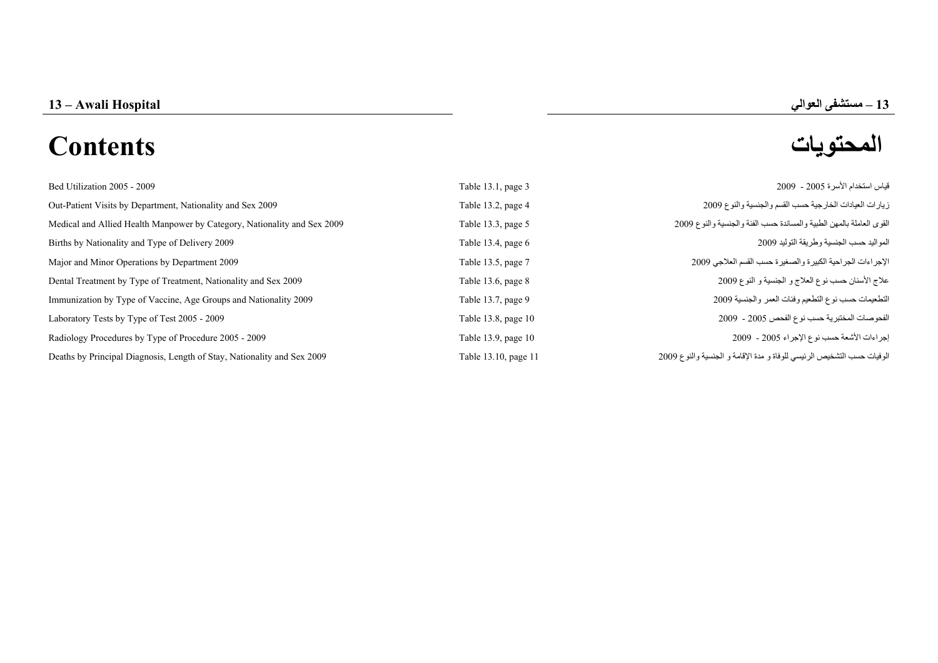# **المحتويات Contents**

| Bed Utilization 2005 - 2009                                              | Table 13.1, page 3   | قياس استخدام الأسر ة 2005 - 2009                                       |
|--------------------------------------------------------------------------|----------------------|------------------------------------------------------------------------|
| Out-Patient Visits by Department, Nationality and Sex 2009               | Table 13.2, page 4   | زيارات العيادات الخارجية حسب القسم والجنسية والنوع 2009                |
| Medical and Allied Health Manpower by Category, Nationality and Sex 2009 | Table 13.3, page 5   | القوى العاملة بالمهن الطبية والمساندة حسب الفئة والجنسية والنوع 2009   |
| Births by Nationality and Type of Delivery 2009                          | Table 13.4, page $6$ | المواليد حسب الجنسية وطريقة التوليد 2009                               |
| Major and Minor Operations by Department 2009                            | Table 13.5, page 7   | الإجراءات الجراحية الكبيرة والصغيرة حسب القسم العلاجي 2009             |
| Dental Treatment by Type of Treatment, Nationality and Sex 2009          | Table 13.6, page 8   | علاج الأسنان حسب نوع العلاج و الجنسية و النوع 2009                     |
| Immunization by Type of Vaccine, Age Groups and Nationality 2009         | Table 13.7, page 9   | التطعيمات حسب نوع التطعيم وفئات العمر والجنسية 2009                    |
| Laboratory Tests by Type of Test 2005 - 2009                             | Table 13.8, page 10  | الفحوصات المختبرية حسب نوع الفحص 2005 - 2009                           |
| Radiology Procedures by Type of Procedure 2005 - 2009                    | Table 13.9, page 10  | إجراءات الأشعة حسب نوع الإجراء 2005 - 2009                             |
| Deaths by Principal Diagnosis, Length of Stay, Nationality and Sex 2009  | Table 13.10, page 11 | الوفيات حسب التشخيص الرئيسي للوفاة و مدة الإقامة و الجنسية والنوع 2009 |

**–**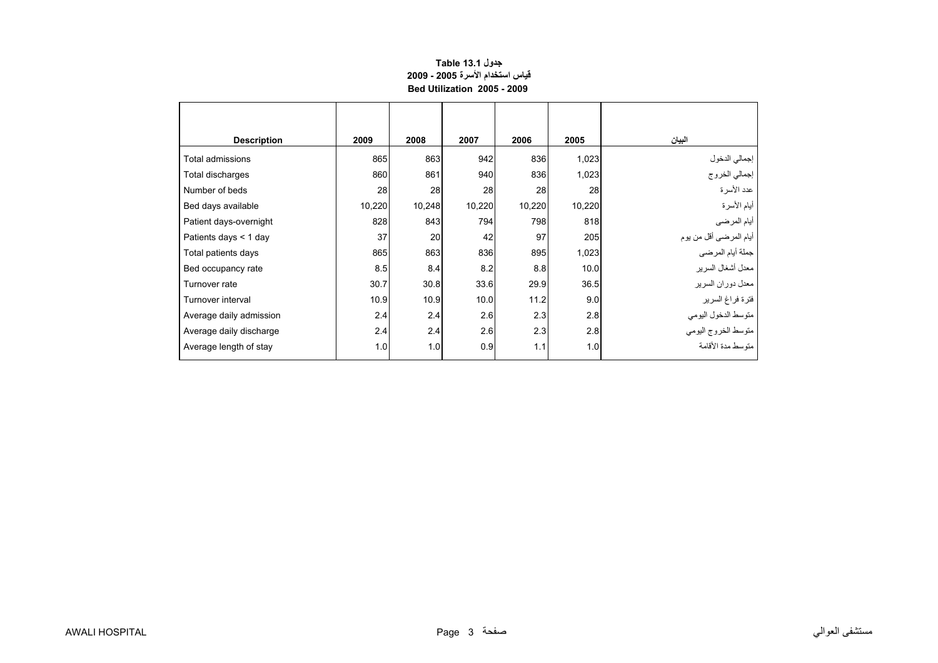# **جدول 13.1 Table قياس استخدام الأسرة 2005 - 2009 Bed Utilization 2005 - 2009**

<span id="page-1-0"></span>

| <b>Description</b>      | 2009   | 2008   | 2007   | 2006   | 2005   | البيان                         |
|-------------------------|--------|--------|--------|--------|--------|--------------------------------|
| Total admissions        | 865    | 863    | 942    | 836    | 1,023  |                                |
| Total discharges        | 860    | 861    | 940    | 836    | 1,023  | إجمالي الدخول<br>إجمالي الخروج |
| Number of beds          | 28     | 28     | 28     | 28     | 28     | عدد الأسرة                     |
| Bed days available      | 10,220 | 10,248 | 10,220 | 10,220 | 10,220 | أيام الأسرة                    |
| Patient days-overnight  | 828    | 843    | 794    | 798    | 818    | أيام المرضىي                   |
| Patients days $<$ 1 day | 37     | 20     | 42     | 97     | 205    | أيام المرضىي أقل من يوم        |
| Total patients days     | 865    | 863    | 836    | 895    | 1,023  | جملة أيام المرضي               |
| Bed occupancy rate      | 8.5    | 8.4    | 8.2    | 8.8    | 10.0   | معدل أشغال السرير              |
| Turnover rate           | 30.7   | 30.8   | 33.6   | 29.9   | 36.5   | معدل دوران السرير              |
| Turnover interval       | 10.9   | 10.9   | 10.0   | 11.2   | 9.0    | فترة فراغ السرير               |
| Average daily admission | 2.4    | 2.4    | 2.6    | 2.3    | 2.8    | متوسط الدخول اليومي            |
| Average daily discharge | 2.4    | 2.4    | 2.6    | 2.3    | 2.8    | متوسط الخروج اليومى            |
| Average length of stay  | 1.0    | 1.0    | 0.9    | 1.1    | 1.0    | متوسط مدة الأقامة              |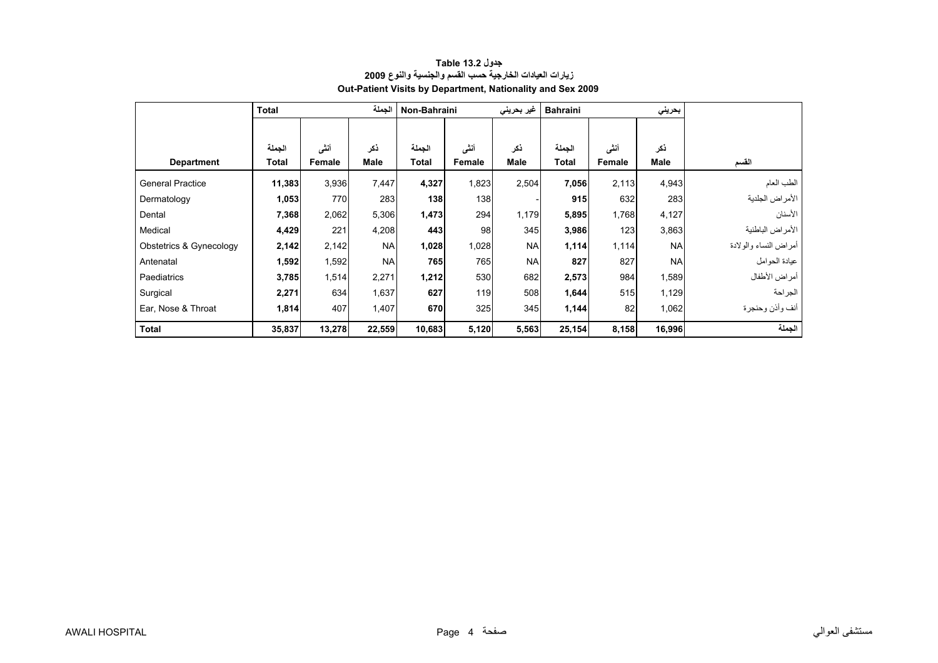<span id="page-2-0"></span>

|                         | الحملة<br><b>Total</b> |        |           | Non-Bahraini |        | غیر بحرینی | <b>Bahraini</b> |        | بحرينى    |                       |
|-------------------------|------------------------|--------|-----------|--------------|--------|------------|-----------------|--------|-----------|-----------------------|
|                         |                        |        |           |              |        |            |                 |        |           |                       |
|                         | الجملة                 | أنشى   | ذكر       | الجملة       | أنشى   | ذكر        | الجملة          | أنشى   | ذكر       |                       |
| <b>Department</b>       | Total                  | Female | Male      | Total        | Female | Male       | <b>Total</b>    | Female | Male      | القسم                 |
| <b>General Practice</b> | 11,383                 | 3,936  | 7,447     | 4,327        | 1,823  | 2,504      | 7,056           | 2,113  | 4,943     | الطب العام            |
| Dermatology             | 1,053                  | 770    | 283       | 138          | 138    |            | 915             | 632    | 283       | الأمراض الجلدية       |
| Dental                  | 7,368                  | 2,062  | 5,306     | 1,473        | 294    | 1,179      | 5,895           | 1,768  | 4,127     | الأسنان               |
| Medical                 | 4,429                  | 221    | 4,208     | 443          | 98     | 345        | 3,986           | 123    | 3,863     | الأمراض الباطنية      |
| Obstetrics & Gynecology | 2,142                  | 2,142  | <b>NA</b> | 1,028        | 1,028  | <b>NA</b>  | 1,114           | 1,114  | <b>NA</b> | أمراض النساء والولادة |
| Antenatal               | 1,592                  | 1,592  | <b>NA</b> | 765          | 765    | <b>NA</b>  | 827             | 827    | <b>NA</b> | عيادة الحو امل        |
| Paediatrics             | 3,785                  | 1,514  | 2,271     | 1,212        | 530    | 682        | 2,573           | 984    | 1,589     | أمراض الأطفال         |
| Surgical                | 2,271                  | 634    | 1,637     | 627          | 119    | 508        | 1,644           | 515    | 1,129     | الجراحة               |
| Ear, Nose & Throat      | 1,814                  | 407    | 1,407     | 670          | 325    | 345        | 1,144           | 82     | 1,062     | أنف وأذن وحنجرة       |
| <b>Total</b>            | 35,837                 | 13,278 | 22,559    | 10,683       | 5,120  | 5,563      | 25,154          | 8,158  | 16,996    | الجملة                |

### **جدول 13.2 Table زيارات العيادات الخارجية حسب القسم والجنسية والنوع <sup>2009</sup> Out-Patient Visits by Department, Nationality and Sex 2009**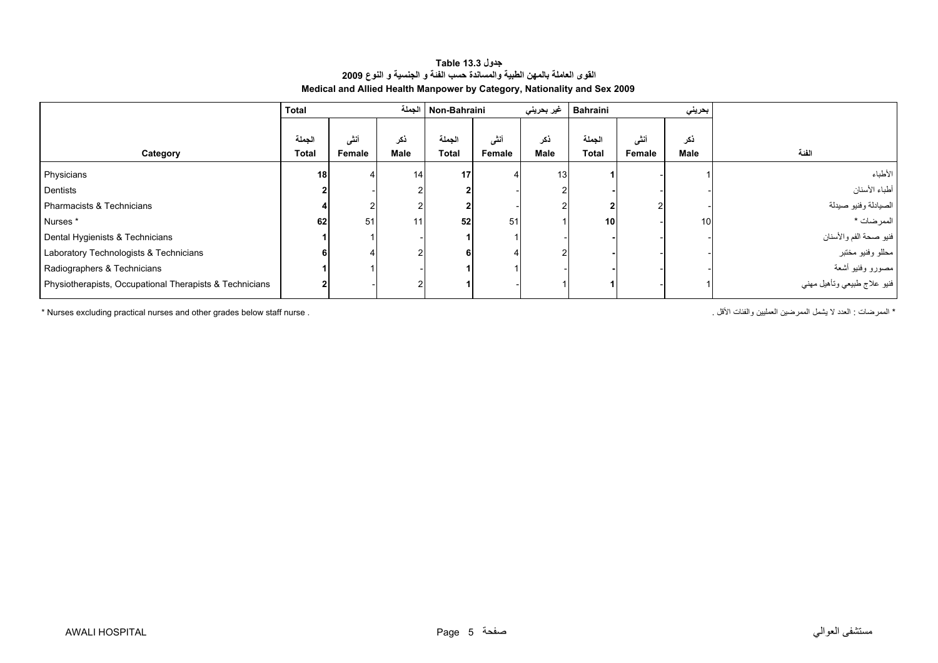<span id="page-3-0"></span>

|                                                         | <b>Total</b>           |                | الجملة      | Non-Bahraini           |                | غير بحريني  | <b>Bahraini</b>        |                | بحريني          |                             |
|---------------------------------------------------------|------------------------|----------------|-------------|------------------------|----------------|-------------|------------------------|----------------|-----------------|-----------------------------|
| Category                                                | الجملة<br><b>Total</b> | أنشى<br>Female | ذكر<br>Male | الجملة<br><b>Total</b> | أننى<br>Female | ذكر<br>Male | الجملة<br><b>Total</b> | أنشى<br>Female | ذكر<br>Male     | الفنة                       |
| Physicians                                              | 18                     |                | 14          | 17 <sup>1</sup>        |                | 13          |                        |                |                 | الأطباء                     |
| Dentists                                                |                        |                |             |                        |                |             |                        |                |                 | أطباء الأسنان               |
| Pharmacists & Technicians                               |                        |                |             |                        |                |             |                        |                |                 | الصيادلة وفنيو صيدلة        |
| Nurses <sup>*</sup>                                     | 62                     | 51             | 11          | 52                     | 51             |             | 10 <sup>1</sup>        |                | 10 <sup>1</sup> | الممر ضات *                 |
| Dental Hygienists & Technicians                         |                        |                |             |                        |                |             |                        |                |                 | فنيو صحة الفم والأسنان      |
| Laboratory Technologists & Technicians                  | 6                      |                |             |                        |                |             |                        |                |                 | محللو وفنيو مختبر           |
| Radiographers & Technicians                             |                        |                |             |                        |                |             |                        |                |                 | مصورو وفنيو أشعة            |
| Physiotherapists, Occupational Therapists & Technicians |                        |                |             |                        |                |             |                        |                |                 | فنيو علاج طبيعي وتأهيل مهني |

#### **جدول 13.3 Table القوى العاملة بالمهن الطبية والمساندة حسب الفئة <sup>و</sup> الجنسية <sup>و</sup> النوع <sup>2009</sup> Medical and Allied Health Manpower by Category, Nationality and Sex 2009**

\* Nurses excluding practical nurses and other grades below staff nurse . . الأقل والفئات العمليين الممرضين يشمل لا العدد : الممرضات\*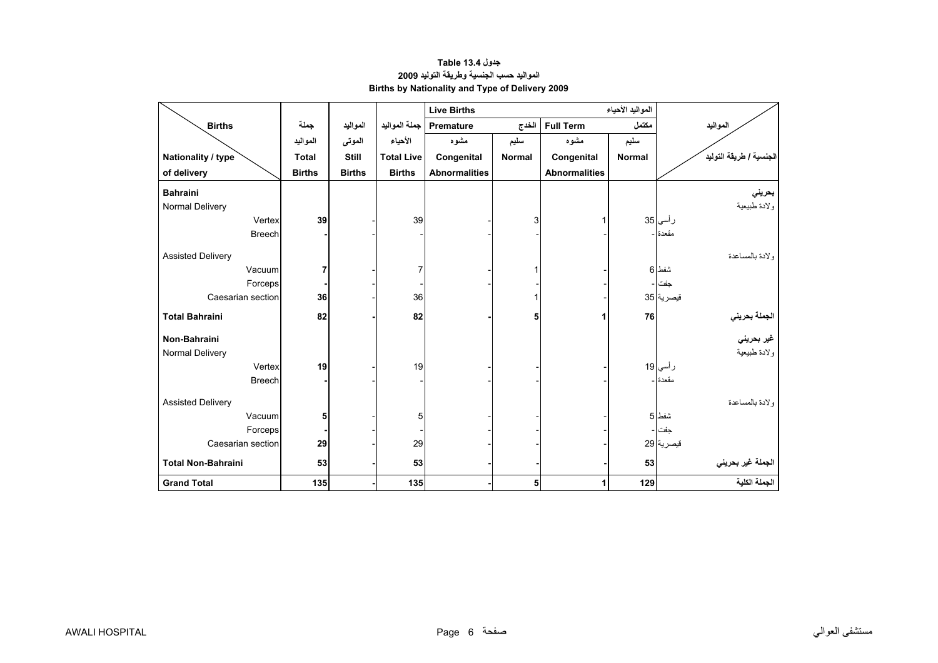# **جدول 13.4 Table المواليد حسب الجنسية وطريقة التوليد<sup>2009</sup> Births by Nationality and Type of Delivery 2009**

<span id="page-4-0"></span>

|                           |               |               |                   | <b>Live Births</b>   |               |                      | المواليد الأحياء |                                    |
|---------------------------|---------------|---------------|-------------------|----------------------|---------------|----------------------|------------------|------------------------------------|
| <b>Births</b>             | جملة          | المواليد      | جملة المواليد     | Premature            | الخدج         | <b>Full Term</b>     | مكتمل            | المواليد                           |
|                           | المواليد      | الموتى        | الأحياء           | مشوه                 | سليم          | مشوه                 | سليم             |                                    |
| Nationality / type        | <b>Total</b>  | <b>Still</b>  | <b>Total Live</b> | Congenital           | <b>Normal</b> | Congenital           | <b>Normal</b>    | الجنسية / طريقة التوليد            |
| of delivery               | <b>Births</b> | <b>Births</b> | <b>Births</b>     | <b>Abnormalities</b> |               | <b>Abnormalities</b> |                  |                                    |
| <b>Bahraini</b>           |               |               |                   |                      |               |                      |                  | بحريني                             |
| Normal Delivery           |               |               |                   |                      |               |                      |                  | ولادة طبيعية                       |
| Vertex                    | 39            |               | 39                |                      | 3             | 1                    |                  | ر أسي 35                           |
| <b>Breech</b>             |               |               |                   |                      |               |                      |                  | مقعدة -                            |
| <b>Assisted Delivery</b>  |               |               |                   |                      |               |                      |                  | ولادة بالمساعدة                    |
| Vacuum                    | 7             |               | 7                 |                      | 1             |                      |                  | شفط 6                              |
| Forceps                   |               |               |                   |                      |               |                      |                  | جفت                                |
| Caesarian section         | 36            |               | 36                |                      |               |                      |                  | فيصرية 35                          |
| <b>Total Bahraini</b>     | 82            |               | 82                |                      | 5             | 1                    | 76               | ا <mark>لجملة بحرين<i>ي</i></mark> |
| Non-Bahraini              |               |               |                   |                      |               |                      |                  | غير بحرين <i>ي</i>                 |
| Normal Delivery           |               |               |                   |                      |               |                      |                  | ولادة طبيعية                       |
| Vertex                    | 19            |               | 19                |                      |               |                      |                  | ر أسي 19                           |
| <b>Breech</b>             |               |               |                   |                      |               |                      |                  | مقعدة ا-                           |
| <b>Assisted Delivery</b>  |               |               |                   |                      |               |                      |                  | ولادة بالمساعدة                    |
| Vacuum                    | 5             |               | 5                 |                      |               |                      |                  | شفط 5                              |
| Forceps                   |               |               |                   |                      |               |                      |                  | جفت                                |
| Caesarian section         | 29            |               | 29                |                      |               |                      |                  | قيصرية 29                          |
| <b>Total Non-Bahraini</b> | 53            |               | 53                |                      |               |                      | 53               | الجملة غير بحريني                  |
| <b>Grand Total</b>        | 135           |               | 135               |                      | 5             | 1                    | 129              | الجملة الكلية                      |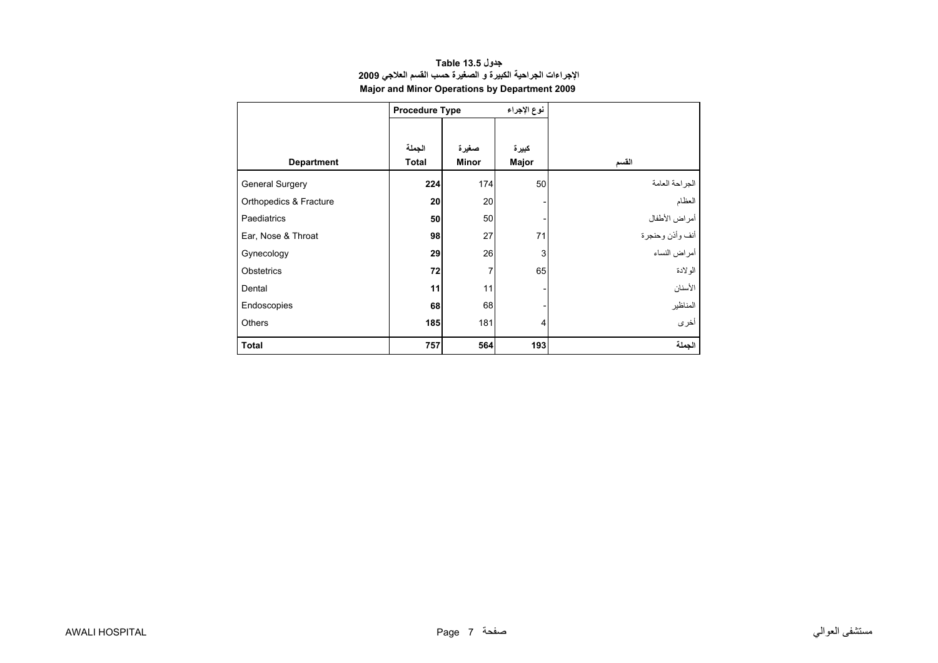<span id="page-5-0"></span>

|                        | <b>Procedure Type</b> |              | نوع الإجراء |                 |
|------------------------|-----------------------|--------------|-------------|-----------------|
|                        |                       |              |             |                 |
|                        | الجملة                | صغيرة        | كبيرة       |                 |
| <b>Department</b>      | <b>Total</b>          | <b>Minor</b> | Major       | القسم           |
| <b>General Surgery</b> | 224                   | 174          | 50          | الجراحة العامة  |
| Orthopedics & Fracture | 20                    | 20           |             | العظام          |
| Paediatrics            | 50                    | 50           |             | أمراض الأطفال   |
| Ear, Nose & Throat     | 98                    | 27           | 71          | أنف وأذن وحنجرة |
| Gynecology             | 29                    | 26           | 3           | أمراض النساء    |
| Obstetrics             | 72                    | 7            | 65          | الو لادة        |
| Dental                 | 11                    | 11           |             | الأسنان         |
| Endoscopies            | 68                    | 68           |             | المناظير        |
| Others                 | 185                   | 181          | 4           | أخرى            |
| <b>Total</b>           | 757                   | 564          | 193         | الجملة          |

### **جدول 13.5 Table الإجراءات الجراحية الكبيرة <sup>و</sup> الصغيرة حسب القسم العلاجي <sup>2009</sup> Major and Minor Operations by Department 2009**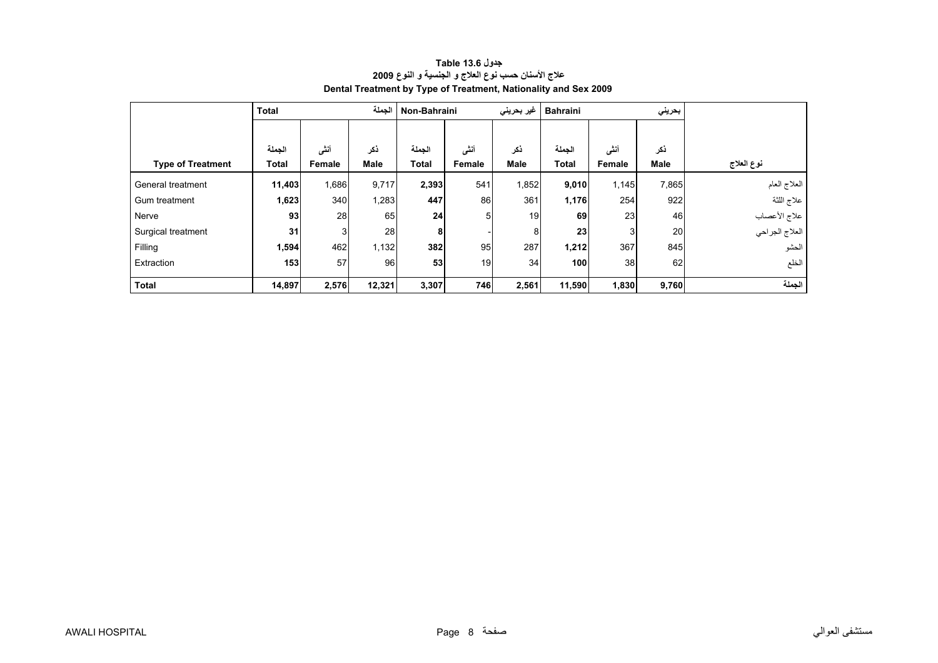<span id="page-6-0"></span>

|                          | <b>Total</b>           |                | الجملة             | Non-Bahraini           |                | غیر بحرینی         | <b>Bahraini</b>        |                       | بحريني             |                |
|--------------------------|------------------------|----------------|--------------------|------------------------|----------------|--------------------|------------------------|-----------------------|--------------------|----------------|
| <b>Type of Treatment</b> | الجملة<br><b>Total</b> | أننى<br>Female | ذكر<br><b>Male</b> | الجملة<br><b>Total</b> | أنشى<br>Female | ذكر<br><b>Male</b> | الجملة<br><b>Total</b> | أننى<br><b>Female</b> | ذكر<br><b>Male</b> | نوع العلاج     |
| General treatment        | 11,403                 | 1,686          | 9,717              | 2,393                  | 541            | 1,852              | 9,010                  | 1,145                 | 7,865              | العلاج العام   |
| Gum treatment            | 1,623                  | 340            | 1,283              | 447                    | 86             | 361                | 1,176                  | 254                   | 922                | علاج اللثة     |
| Nerve                    | 93                     | 28             | 65                 | 24                     | 51             | 19                 | 69                     | 23                    | 46                 | علاج الأعصاب   |
| Surgical treatment       | 31                     | 3 <sub>l</sub> | 28                 | 8                      |                | 8                  | 23 <sub>l</sub>        |                       | 20                 | العلاج الجراحي |
| Filling                  | 1,594                  | 462            | 1,132              | 382                    | 95             | 287                | 1,212                  | 367                   | 845                | الحشو          |
| Extraction               | 153                    | 57             | 96                 | 53                     | 19             | 34                 | 100                    | 38                    | 62                 | الخلع          |
| <b>Total</b>             | 14,897                 | 2,576          | 12,321             | 3,307                  | 746            | 2,561              | 11,590                 | 1,830                 | 9,760              | الجملة         |

# **جدول 13.6 Table علاج الأسنان حسب نوع العلاج <sup>و</sup> الجنسية <sup>و</sup> النوع <sup>2009</sup> Dental Treatment by Type of Treatment, Nationality and Sex 2009**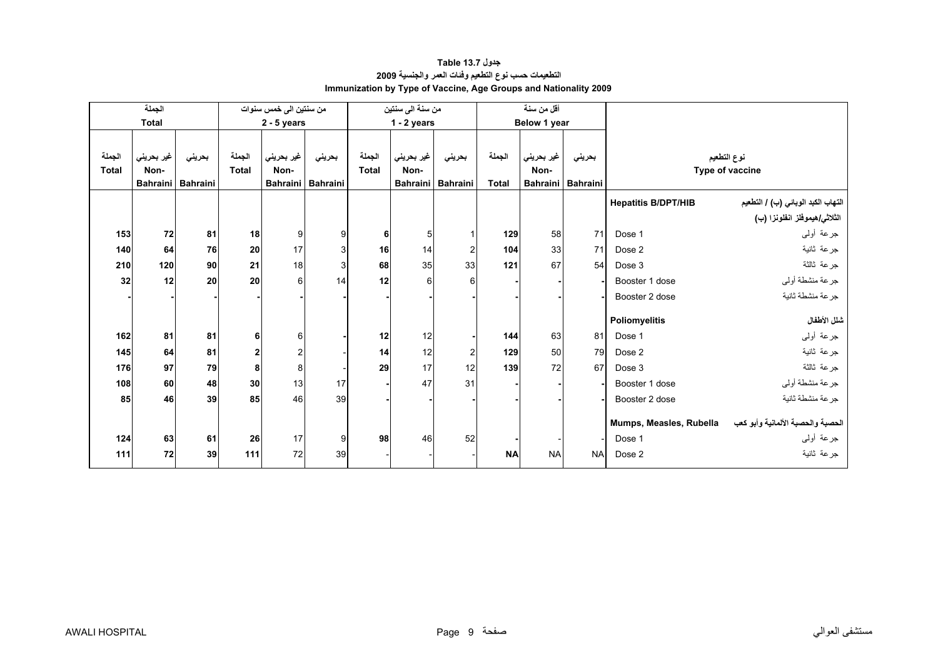# **جدول 13.7 Table التطعيمات حسب نوع التطعيم وفئات العمر والجنسية <sup>2009</sup> Immunization by Type of Vaccine, Age Groups and Nationality 2009**

<span id="page-7-0"></span>

|                        | الجملة             |                             |                        | من سنتين الى خمس سنوات                |                           |                        | من سنة الى سنتين                        |                |                        | أقل من سنة                            |                           |                            |                                       |
|------------------------|--------------------|-----------------------------|------------------------|---------------------------------------|---------------------------|------------------------|-----------------------------------------|----------------|------------------------|---------------------------------------|---------------------------|----------------------------|---------------------------------------|
|                        | <b>Total</b>       |                             |                        | $2 - 5$ years                         |                           |                        | $1 - 2$ years                           |                |                        | Below 1 year                          |                           |                            |                                       |
| الجملة<br><b>Total</b> | غير بحريني<br>Non- | بحريني<br>Bahraini Bahraini | الجملة<br><b>Total</b> | غير بحريني<br>Non-<br><b>Bahraini</b> | بحريني<br><b>Bahraini</b> | الجملة<br><b>Total</b> | غير بحريني<br>Non-<br>Bahraini Bahraini | بحريني         | الجملة<br><b>Total</b> | غير بحريني<br>Non-<br><b>Bahraini</b> | بحريني<br><b>Bahraini</b> |                            | نوع التطعيم<br>Type of vaccine        |
|                        |                    |                             |                        |                                       |                           |                        |                                         |                |                        |                                       |                           | <b>Hepatitis B/DPT/HIB</b> | التهاب الكبد الوبائي (ب) / التطعيم    |
|                        |                    |                             |                        |                                       |                           |                        |                                         |                |                        |                                       |                           |                            | الثلاث <i>ي ه</i> يموفلز انفلونزا (ب) |
| 153                    | 72                 | 81                          | 18                     | 9                                     | 9                         | 6                      | 5                                       |                | 129                    | 58                                    | 71                        | Dose 1                     | جرعة أولىي                            |
| 140                    | 64                 | 76                          | 20                     | 17                                    | 3                         | 16                     | 14                                      | $\overline{2}$ | 104                    | 33                                    | 71                        | Dose 2                     | جرعة ثانية                            |
| 210                    | 120                | 90                          | 21                     | 18                                    | 3                         | 68                     | 35                                      | 33             | 121                    | 67                                    | 54                        | Dose 3                     | جرعة ثالثة                            |
| 32                     | 12                 | 20                          | 20                     | 6                                     | 14                        | 12                     | 6                                       | 6              |                        |                                       |                           | Booster 1 dose             | جرعة منشطة أولى                       |
|                        |                    |                             |                        |                                       |                           |                        |                                         |                |                        |                                       |                           | Booster 2 dose             | جرعة منشطة ثانية                      |
|                        |                    |                             |                        |                                       |                           |                        |                                         |                |                        |                                       |                           | Poliomyelitis              | شلل الأطفال                           |
| 162                    | 81                 | 81                          | 6                      | 6                                     |                           | 12                     | 12                                      |                | 144                    | 63                                    | 81                        | Dose 1                     | جرعة أولىي                            |
| 145                    | 64                 | 81                          | 2                      |                                       |                           | 14                     | 12                                      | $\overline{c}$ | 129                    | 50                                    | 79                        | Dose 2                     | جرعة ثانية                            |
| 176                    | 97                 | 79                          | 8                      | 8                                     |                           | 29                     | 17                                      | 12             | 139                    | 72                                    | 67                        | Dose 3                     | جرعة ثالثة                            |
| 108                    | 60                 | 48                          | 30                     | 13                                    | 17                        |                        | 47                                      | 31             |                        |                                       |                           | Booster 1 dose             | جرعة منشطة أوليي                      |
| 85                     | 46                 | 39                          | 85                     | 46                                    | 39                        |                        |                                         |                |                        |                                       |                           | Booster 2 dose             | جرعة منشطة ثانية                      |
|                        |                    |                             |                        |                                       |                           |                        |                                         |                |                        |                                       |                           | Mumps, Measles, Rubella    | الحصبة والحصبة الألمانية وأبو كعب     |
| 124                    | 63                 | 61                          | 26                     | 17                                    | 9                         | 98                     | 46                                      | 52             |                        |                                       |                           | Dose 1                     | جرعة أولىي                            |
| 111                    | 72                 | 39                          | 111                    | 72                                    | 39                        |                        |                                         |                | <b>NA</b>              | <b>NA</b>                             | <b>NA</b>                 | Dose 2                     | جرعة ثانية                            |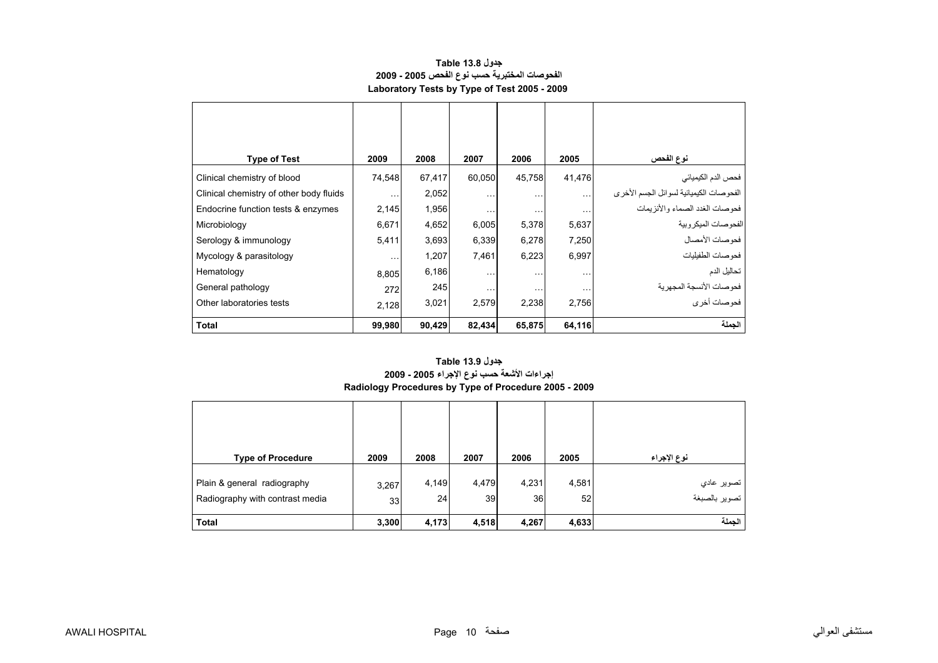#### **جدول 13.8 Table الفحوصات المختبرية حسب نوع الفحص 2005 - 2009 Laboratory Tests by Type of Test 2005 - 2009**

<span id="page-8-0"></span>

| <b>Type of Test</b>                     | 2009                 | 2008   | 2007     | 2006     | 2005      | نوع الفحص                               |
|-----------------------------------------|----------------------|--------|----------|----------|-----------|-----------------------------------------|
| Clinical chemistry of blood             | 74,548               | 67,417 | 60,050   | 45,758   | 41,476    | فحص الدم الكيميائي                      |
| Clinical chemistry of other body fluids | $\sim$ $\sim$ $\sim$ | 2,052  | $\cdots$ | $\cdots$ | $\ddotsc$ | الفحوصات الكيميائية لسوائل الجسم الأخرى |
| Endocrine function tests & enzymes      | 2,145                | 1,956  | $\cdots$ | .        | $\cdots$  | فحوصات الغدد الصماء والأنز يمات         |
| Microbiology                            | 6,671                | 4,652  | 6,005    | 5,378    | 5,637     | الفحوصات الميكروبية                     |
| Serology & immunology                   | 5,411                | 3,693  | 6,339    | 6,278    | 7,250     | فحو صات الأمصال                         |
| Mycology & parasitology                 | $\cdots$             | 1,207  | 7,461    | 6,223    | 6,997     | فحوصات الطفيليات                        |
| Hematology                              | 8,805                | 6,186  | $\cdots$ | $\cdots$ | $\ddotsc$ | تحاليل الدم                             |
| General pathology                       | 272                  | 245    | $\cdots$ | $\cdots$ | $\cdots$  | فحوصات الأنسجة المجهرية                 |
| Other laboratories tests                | 2,128                | 3,021  | 2,579    | 2,238    | 2,756     | فحوصات أخرى                             |
| <b>Total</b>                            | 99,980               | 90,429 | 82,434   | 65,875   | 64,116    | الجملة                                  |

# **إجراءات الأشعة حسب نوع الإجراء 2005 - 2009 Radiology Procedures by Type of Procedure 2005 - 2009 جدول 13.9 Table**

| <b>Type of Procedure</b>                                       | 2009        | 2008        | 2007                     | 2006        | 2005        | نوع الإجراء                   |
|----------------------------------------------------------------|-------------|-------------|--------------------------|-------------|-------------|-------------------------------|
| Plain & general radiography<br>Radiography with contrast media | 3,267<br>33 | 4,149<br>24 | 4,479<br>39 <sub>l</sub> | 4,231<br>36 | 4,581<br>52 | تصوير عادي<br>  تصوير بالصبغة |
| <b>Total</b>                                                   | 3,300       | 4,173       | 4,518                    | 4,267       | 4,633       | الجملة                        |